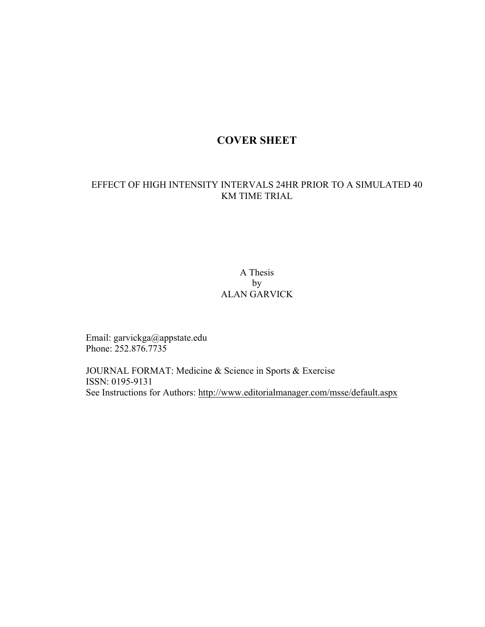# **COVER SHEET**

# EFFECT OF HIGH INTENSITY INTERVALS 24HR PRIOR TO A SIMULATED 40 KM TIME TRIAL

# A Thesis by ALAN GARVICK

Email: garvickga@appstate.edu Phone: 252.876.7735

JOURNAL FORMAT: Medicine & Science in Sports & Exercise ISSN: 0195-9131 See Instructions for Authors: http://www.editorialmanager.com/msse/default.aspx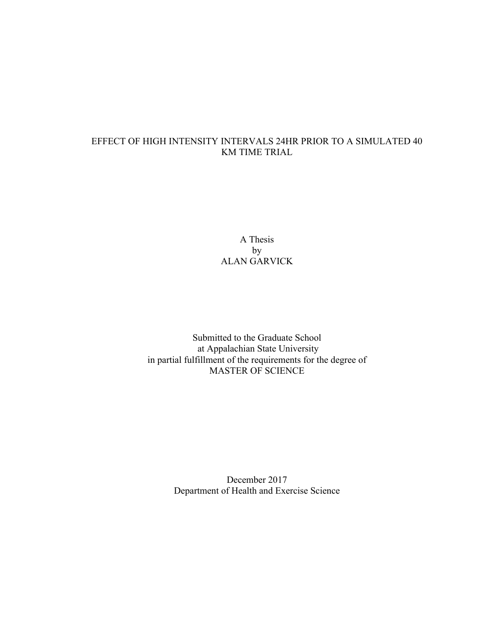# EFFECT OF HIGH INTENSITY INTERVALS 24HR PRIOR TO A SIMULATED 40 KM TIME TRIAL

A Thesis by ALAN GARVICK

Submitted to the Graduate School at Appalachian State University in partial fulfillment of the requirements for the degree of MASTER OF SCIENCE

> December 2017 Department of Health and Exercise Science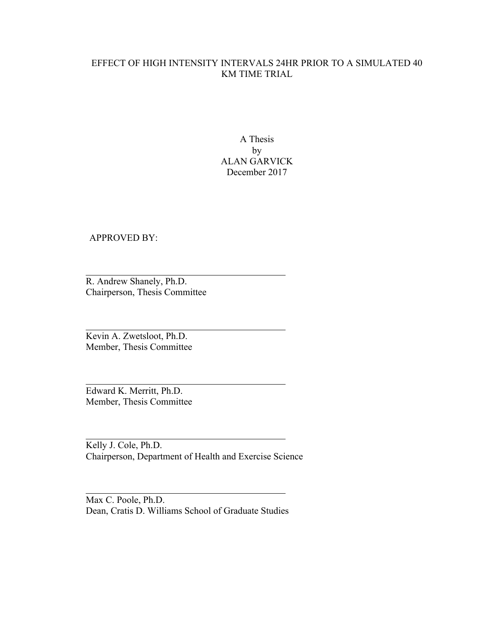# EFFECT OF HIGH INTENSITY INTERVALS 24HR PRIOR TO A SIMULATED 40 KM TIME TRIAL

A Thesis by ALAN GARVICK December 2017

APPROVED BY:

R. Andrew Shanely, Ph.D. Chairperson, Thesis Committee

Kevin A. Zwetsloot, Ph.D. Member, Thesis Committee

Edward K. Merritt, Ph.D. Member, Thesis Committee

Kelly J. Cole, Ph.D. Chairperson, Department of Health and Exercise Science

Max C. Poole, Ph.D. Dean, Cratis D. Williams School of Graduate Studies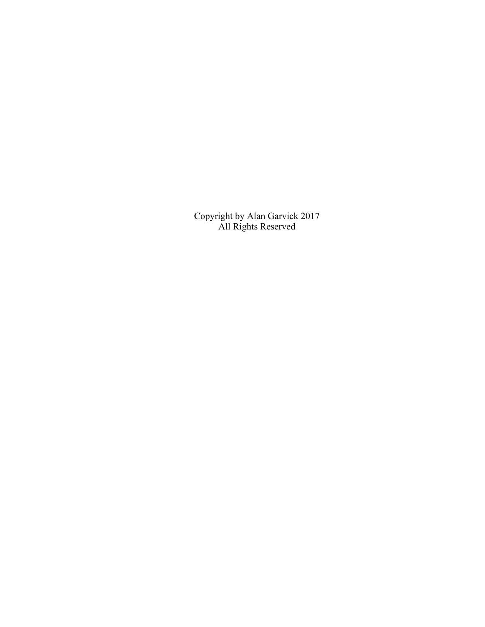Copyright by Alan Garvick 2017 All Rights Reserved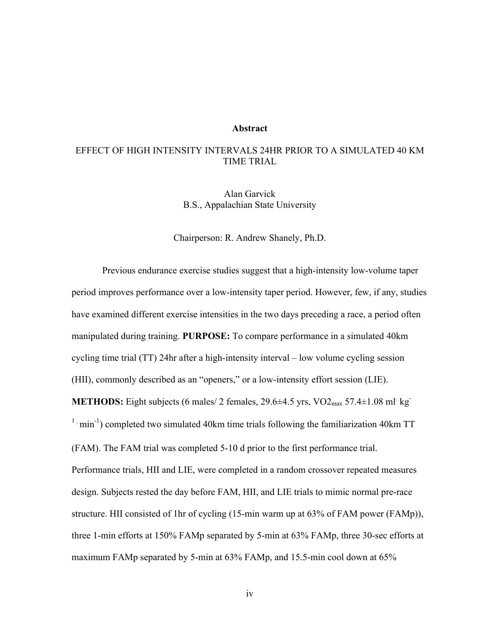#### **Abstract**

### EFFECT OF HIGH INTENSITY INTERVALS 24HR PRIOR TO A SIMULATED 40 KM TIME TRIAL

Alan Garvick B.S., Appalachian State University

Chairperson: R. Andrew Shanely, Ph.D.

Previous endurance exercise studies suggest that a high-intensity low-volume taper period improves performance over a low-intensity taper period. However, few, if any, studies have examined different exercise intensities in the two days preceding a race, a period often manipulated during training. **PURPOSE:** To compare performance in a simulated 40km cycling time trial (TT) 24hr after a high-intensity interval – low volume cycling session (HII), commonly described as an "openers," or a low-intensity effort session (LIE). **METHODS:** Eight subjects (6 males/ 2 females,  $29.6 \pm 4.5$  yrs,  $\text{VO2}_{\text{max}}$  57.4 $\pm 1.08$  ml kg  $1 \cdot min^{-1}$ ) completed two simulated 40km time trials following the familiarization 40km TT (FAM). The FAM trial was completed 5-10 d prior to the first performance trial. Performance trials, HII and LIE, were completed in a random crossover repeated measures design. Subjects rested the day before FAM, HII, and LIE trials to mimic normal pre-race structure. HII consisted of 1hr of cycling (15-min warm up at 63% of FAM power (FAMp)), three 1-min efforts at 150% FAMp separated by 5-min at 63% FAMp, three 30-sec efforts at maximum FAMp separated by 5-min at 63% FAMp, and 15.5-min cool down at 65%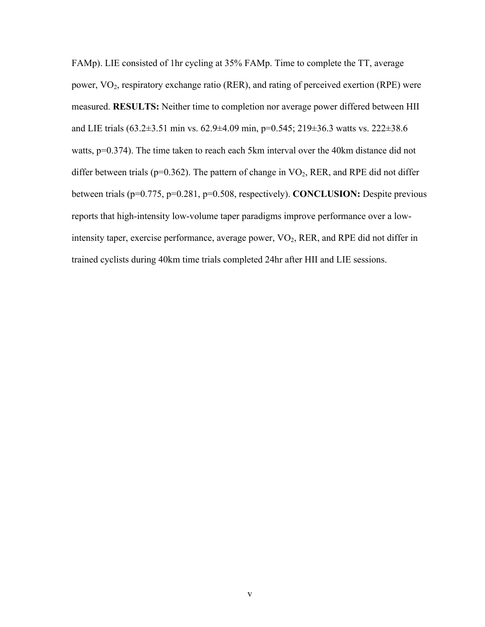FAMp). LIE consisted of 1hr cycling at 35% FAMp. Time to complete the TT, average power,  $VO<sub>2</sub>$ , respiratory exchange ratio (RER), and rating of perceived exertion (RPE) were measured. **RESULTS:** Neither time to completion nor average power differed between HII and LIE trials (63.2±3.51 min vs. 62.9±4.09 min, p=0.545; 219±36.3 watts vs. 222±38.6 watts, p=0.374). The time taken to reach each 5km interval over the 40km distance did not differ between trials ( $p=0.362$ ). The pattern of change in  $VO<sub>2</sub>$ , RER, and RPE did not differ between trials (p=0.775, p=0.281, p=0.508, respectively). **CONCLUSION:** Despite previous reports that high-intensity low-volume taper paradigms improve performance over a lowintensity taper, exercise performance, average power, VO<sub>2</sub>, RER, and RPE did not differ in trained cyclists during 40km time trials completed 24hr after HII and LIE sessions.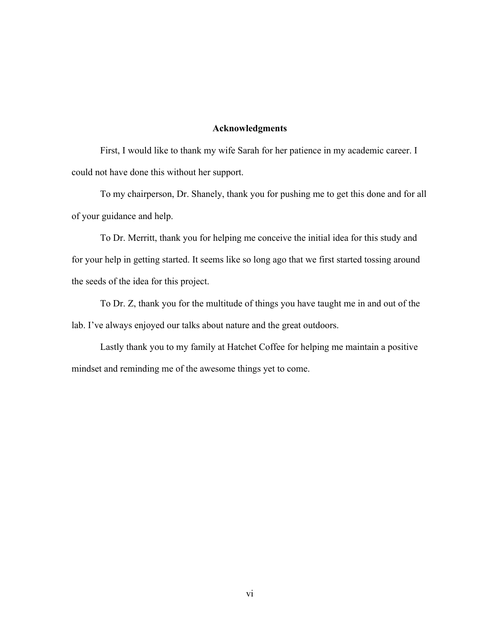#### **Acknowledgments**

First, I would like to thank my wife Sarah for her patience in my academic career. I could not have done this without her support.

To my chairperson, Dr. Shanely, thank you for pushing me to get this done and for all of your guidance and help.

To Dr. Merritt, thank you for helping me conceive the initial idea for this study and for your help in getting started. It seems like so long ago that we first started tossing around the seeds of the idea for this project.

To Dr. Z, thank you for the multitude of things you have taught me in and out of the lab. I've always enjoyed our talks about nature and the great outdoors.

Lastly thank you to my family at Hatchet Coffee for helping me maintain a positive mindset and reminding me of the awesome things yet to come.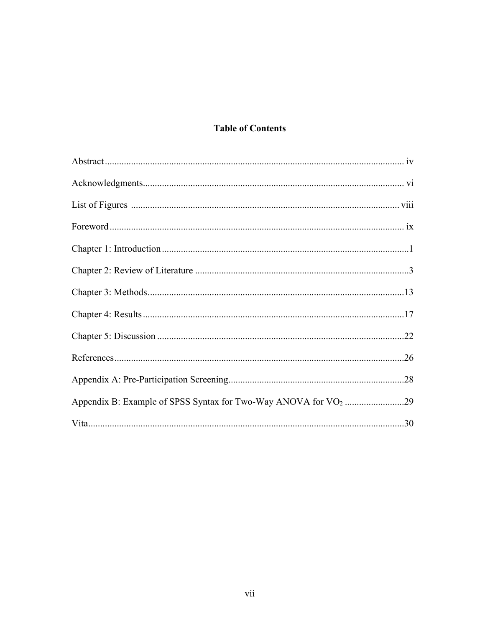# **Table of Contents**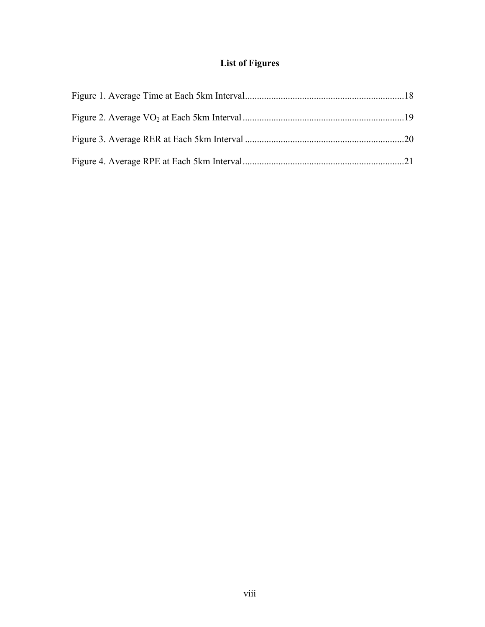# **List of Figures**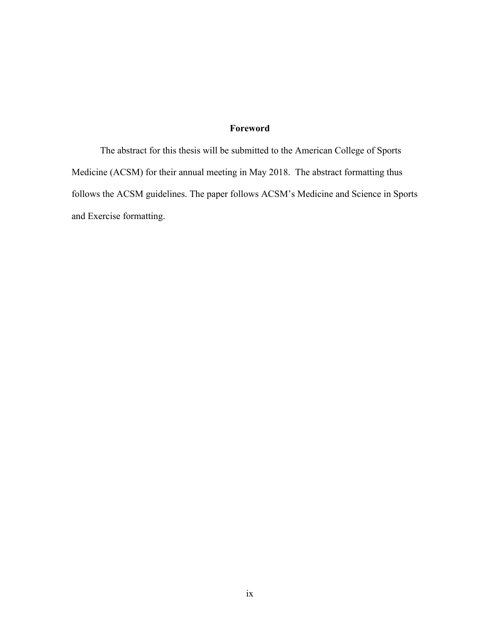# **Foreword**

The abstract for this thesis will be submitted to the American College of Sports Medicine (ACSM) for their annual meeting in May 2018. The abstract formatting thus follows the ACSM guidelines. The paper follows ACSM's Medicine and Science in Sports and Exercise formatting.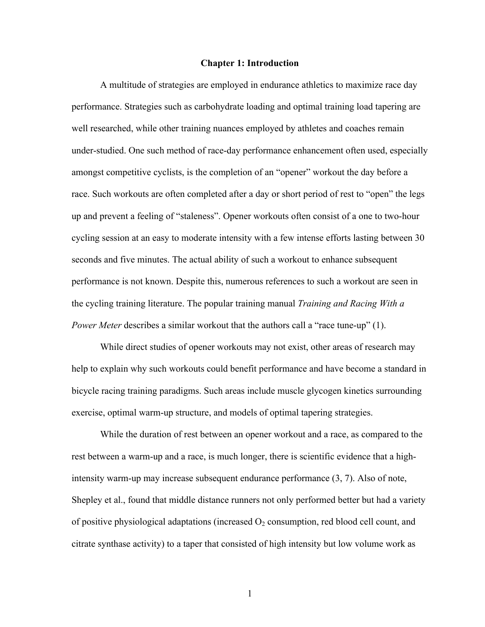#### **Chapter 1: Introduction**

A multitude of strategies are employed in endurance athletics to maximize race day performance. Strategies such as carbohydrate loading and optimal training load tapering are well researched, while other training nuances employed by athletes and coaches remain under-studied. One such method of race-day performance enhancement often used, especially amongst competitive cyclists, is the completion of an "opener" workout the day before a race. Such workouts are often completed after a day or short period of rest to "open" the legs up and prevent a feeling of "staleness". Opener workouts often consist of a one to two-hour cycling session at an easy to moderate intensity with a few intense efforts lasting between 30 seconds and five minutes. The actual ability of such a workout to enhance subsequent performance is not known. Despite this, numerous references to such a workout are seen in the cycling training literature. The popular training manual *Training and Racing With a Power Meter* describes a similar workout that the authors call a "race tune-up" (1).

While direct studies of opener workouts may not exist, other areas of research may help to explain why such workouts could benefit performance and have become a standard in bicycle racing training paradigms. Such areas include muscle glycogen kinetics surrounding exercise, optimal warm-up structure, and models of optimal tapering strategies.

While the duration of rest between an opener workout and a race, as compared to the rest between a warm-up and a race, is much longer, there is scientific evidence that a highintensity warm-up may increase subsequent endurance performance (3, 7). Also of note, Shepley et al., found that middle distance runners not only performed better but had a variety of positive physiological adaptations (increased  $O_2$  consumption, red blood cell count, and citrate synthase activity) to a taper that consisted of high intensity but low volume work as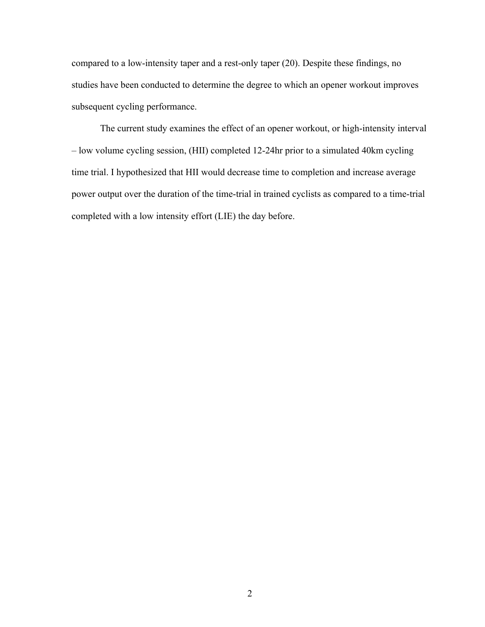compared to a low-intensity taper and a rest-only taper (20). Despite these findings, no studies have been conducted to determine the degree to which an opener workout improves subsequent cycling performance.

The current study examines the effect of an opener workout, or high-intensity interval – low volume cycling session, (HII) completed 12-24hr prior to a simulated 40km cycling time trial. I hypothesized that HII would decrease time to completion and increase average power output over the duration of the time-trial in trained cyclists as compared to a time-trial completed with a low intensity effort (LIE) the day before.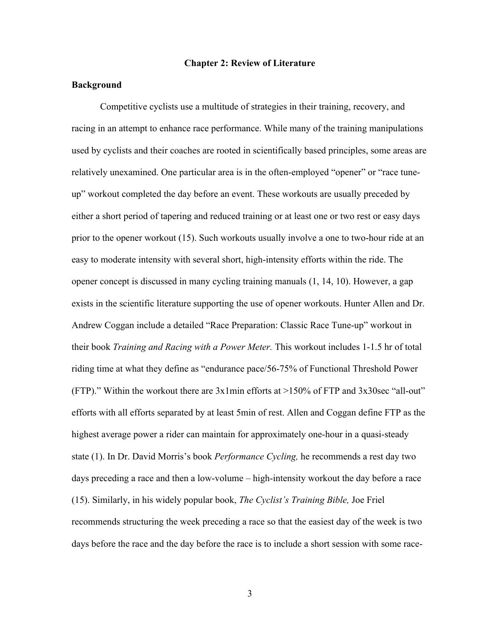#### **Chapter 2: Review of Literature**

#### **Background**

Competitive cyclists use a multitude of strategies in their training, recovery, and racing in an attempt to enhance race performance. While many of the training manipulations used by cyclists and their coaches are rooted in scientifically based principles, some areas are relatively unexamined. One particular area is in the often-employed "opener" or "race tuneup" workout completed the day before an event. These workouts are usually preceded by either a short period of tapering and reduced training or at least one or two rest or easy days prior to the opener workout (15). Such workouts usually involve a one to two-hour ride at an easy to moderate intensity with several short, high-intensity efforts within the ride. The opener concept is discussed in many cycling training manuals (1, 14, 10). However, a gap exists in the scientific literature supporting the use of opener workouts. Hunter Allen and Dr. Andrew Coggan include a detailed "Race Preparation: Classic Race Tune-up" workout in their book *Training and Racing with a Power Meter.* This workout includes 1-1.5 hr of total riding time at what they define as "endurance pace/56-75% of Functional Threshold Power (FTP)." Within the workout there are  $3x1$  min efforts at  $>150\%$  of FTP and  $3x30$ sec "all-out" efforts with all efforts separated by at least 5min of rest. Allen and Coggan define FTP as the highest average power a rider can maintain for approximately one-hour in a quasi-steady state (1). In Dr. David Morris's book *Performance Cycling,* he recommends a rest day two days preceding a race and then a low-volume – high-intensity workout the day before a race (15). Similarly, in his widely popular book, *The Cyclist's Training Bible,* Joe Friel recommends structuring the week preceding a race so that the easiest day of the week is two days before the race and the day before the race is to include a short session with some race-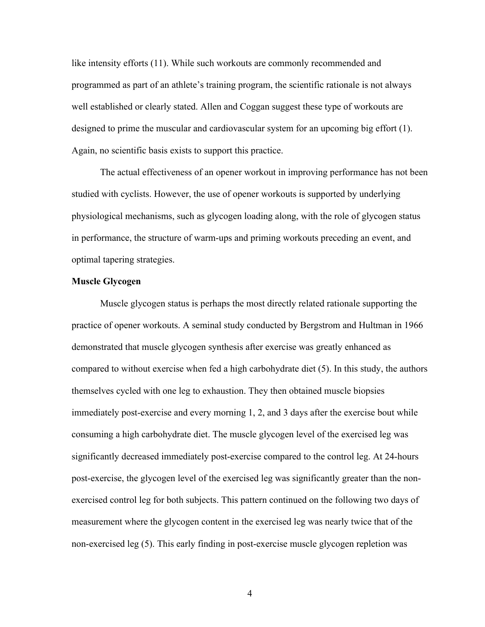like intensity efforts (11). While such workouts are commonly recommended and programmed as part of an athlete's training program, the scientific rationale is not always well established or clearly stated. Allen and Coggan suggest these type of workouts are designed to prime the muscular and cardiovascular system for an upcoming big effort (1). Again, no scientific basis exists to support this practice.

The actual effectiveness of an opener workout in improving performance has not been studied with cyclists. However, the use of opener workouts is supported by underlying physiological mechanisms, such as glycogen loading along, with the role of glycogen status in performance, the structure of warm-ups and priming workouts preceding an event, and optimal tapering strategies.

#### **Muscle Glycogen**

Muscle glycogen status is perhaps the most directly related rationale supporting the practice of opener workouts. A seminal study conducted by Bergstrom and Hultman in 1966 demonstrated that muscle glycogen synthesis after exercise was greatly enhanced as compared to without exercise when fed a high carbohydrate diet (5). In this study, the authors themselves cycled with one leg to exhaustion. They then obtained muscle biopsies immediately post-exercise and every morning 1, 2, and 3 days after the exercise bout while consuming a high carbohydrate diet. The muscle glycogen level of the exercised leg was significantly decreased immediately post-exercise compared to the control leg. At 24-hours post-exercise, the glycogen level of the exercised leg was significantly greater than the nonexercised control leg for both subjects. This pattern continued on the following two days of measurement where the glycogen content in the exercised leg was nearly twice that of the non-exercised leg (5). This early finding in post-exercise muscle glycogen repletion was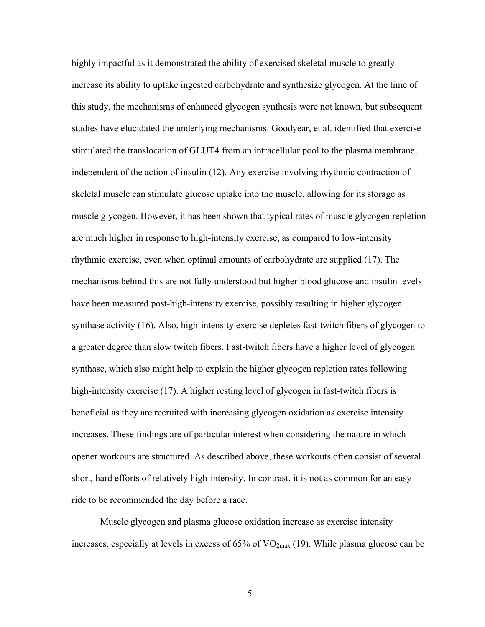highly impactful as it demonstrated the ability of exercised skeletal muscle to greatly increase its ability to uptake ingested carbohydrate and synthesize glycogen. At the time of this study, the mechanisms of enhanced glycogen synthesis were not known, but subsequent studies have elucidated the underlying mechanisms. Goodyear, et al. identified that exercise stimulated the translocation of GLUT4 from an intracellular pool to the plasma membrane, independent of the action of insulin (12). Any exercise involving rhythmic contraction of skeletal muscle can stimulate glucose uptake into the muscle, allowing for its storage as muscle glycogen. However, it has been shown that typical rates of muscle glycogen repletion are much higher in response to high-intensity exercise, as compared to low-intensity rhythmic exercise, even when optimal amounts of carbohydrate are supplied (17). The mechanisms behind this are not fully understood but higher blood glucose and insulin levels have been measured post-high-intensity exercise, possibly resulting in higher glycogen synthase activity (16). Also, high-intensity exercise depletes fast-twitch fibers of glycogen to a greater degree than slow twitch fibers. Fast-twitch fibers have a higher level of glycogen synthase, which also might help to explain the higher glycogen repletion rates following high-intensity exercise (17). A higher resting level of glycogen in fast-twitch fibers is beneficial as they are recruited with increasing glycogen oxidation as exercise intensity increases. These findings are of particular interest when considering the nature in which opener workouts are structured. As described above, these workouts often consist of several short, hard efforts of relatively high-intensity. In contrast, it is not as common for an easy ride to be recommended the day before a race.

Muscle glycogen and plasma glucose oxidation increase as exercise intensity increases, especially at levels in excess of  $65\%$  of  $VO_{2max}$  (19). While plasma glucose can be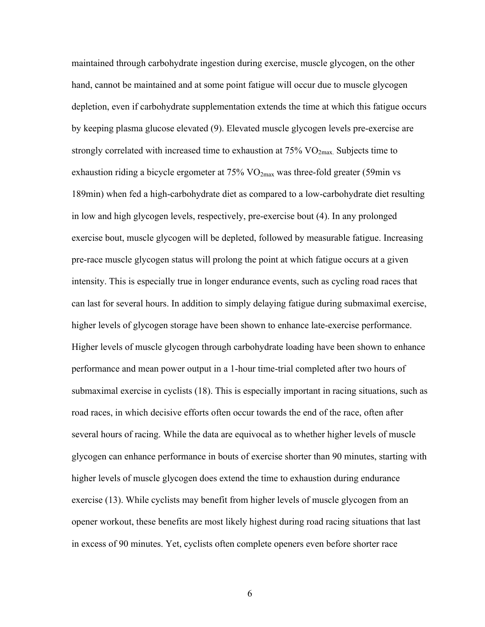maintained through carbohydrate ingestion during exercise, muscle glycogen, on the other hand, cannot be maintained and at some point fatigue will occur due to muscle glycogen depletion, even if carbohydrate supplementation extends the time at which this fatigue occurs by keeping plasma glucose elevated (9). Elevated muscle glycogen levels pre-exercise are strongly correlated with increased time to exhaustion at  $75\%$  VO<sub>2max</sub>. Subjects time to exhaustion riding a bicycle ergometer at  $75\%$  VO<sub>2max</sub> was three-fold greater (59min vs 189min) when fed a high-carbohydrate diet as compared to a low-carbohydrate diet resulting in low and high glycogen levels, respectively, pre-exercise bout (4). In any prolonged exercise bout, muscle glycogen will be depleted, followed by measurable fatigue. Increasing pre-race muscle glycogen status will prolong the point at which fatigue occurs at a given intensity. This is especially true in longer endurance events, such as cycling road races that can last for several hours. In addition to simply delaying fatigue during submaximal exercise, higher levels of glycogen storage have been shown to enhance late-exercise performance. Higher levels of muscle glycogen through carbohydrate loading have been shown to enhance performance and mean power output in a 1-hour time-trial completed after two hours of submaximal exercise in cyclists (18). This is especially important in racing situations, such as road races, in which decisive efforts often occur towards the end of the race, often after several hours of racing. While the data are equivocal as to whether higher levels of muscle glycogen can enhance performance in bouts of exercise shorter than 90 minutes, starting with higher levels of muscle glycogen does extend the time to exhaustion during endurance exercise (13). While cyclists may benefit from higher levels of muscle glycogen from an opener workout, these benefits are most likely highest during road racing situations that last in excess of 90 minutes. Yet, cyclists often complete openers even before shorter race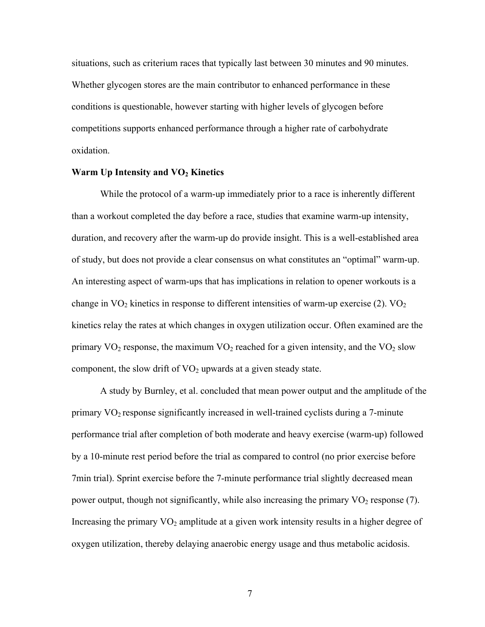situations, such as criterium races that typically last between 30 minutes and 90 minutes. Whether glycogen stores are the main contributor to enhanced performance in these conditions is questionable, however starting with higher levels of glycogen before competitions supports enhanced performance through a higher rate of carbohydrate oxidation.

#### **Warm Up Intensity and VO2 Kinetics**

While the protocol of a warm-up immediately prior to a race is inherently different than a workout completed the day before a race, studies that examine warm-up intensity, duration, and recovery after the warm-up do provide insight. This is a well-established area of study, but does not provide a clear consensus on what constitutes an "optimal" warm-up. An interesting aspect of warm-ups that has implications in relation to opener workouts is a change in  $\text{VO}_2$  kinetics in response to different intensities of warm-up exercise (2).  $\text{VO}_2$ kinetics relay the rates at which changes in oxygen utilization occur. Often examined are the primary  $VO_2$  response, the maximum  $VO_2$  reached for a given intensity, and the  $VO_2$  slow component, the slow drift of  $VO<sub>2</sub>$  upwards at a given steady state.

A study by Burnley, et al. concluded that mean power output and the amplitude of the primary VO2 response significantly increased in well-trained cyclists during a 7-minute performance trial after completion of both moderate and heavy exercise (warm-up) followed by a 10-minute rest period before the trial as compared to control (no prior exercise before 7min trial). Sprint exercise before the 7-minute performance trial slightly decreased mean power output, though not significantly, while also increasing the primary  $VO<sub>2</sub>$  response (7). Increasing the primary  $VO<sub>2</sub>$  amplitude at a given work intensity results in a higher degree of oxygen utilization, thereby delaying anaerobic energy usage and thus metabolic acidosis.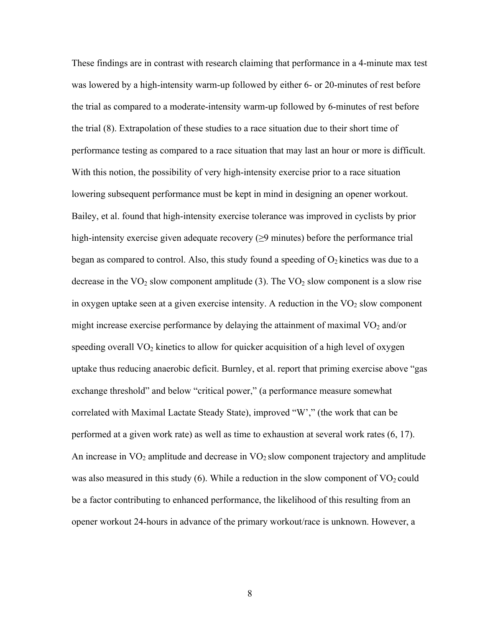These findings are in contrast with research claiming that performance in a 4-minute max test was lowered by a high-intensity warm-up followed by either 6- or 20-minutes of rest before the trial as compared to a moderate-intensity warm-up followed by 6-minutes of rest before the trial (8). Extrapolation of these studies to a race situation due to their short time of performance testing as compared to a race situation that may last an hour or more is difficult. With this notion, the possibility of very high-intensity exercise prior to a race situation lowering subsequent performance must be kept in mind in designing an opener workout. Bailey, et al. found that high-intensity exercise tolerance was improved in cyclists by prior high-intensity exercise given adequate recovery  $(\geq 9$  minutes) before the performance trial began as compared to control. Also, this study found a speeding of  $O_2$  kinetics was due to a decrease in the  $VO<sub>2</sub>$  slow component amplitude (3). The  $VO<sub>2</sub>$  slow component is a slow rise in oxygen uptake seen at a given exercise intensity. A reduction in the  $VO<sub>2</sub>$  slow component might increase exercise performance by delaying the attainment of maximal  $VO<sub>2</sub>$  and/or speeding overall  $VO<sub>2</sub>$  kinetics to allow for quicker acquisition of a high level of oxygen uptake thus reducing anaerobic deficit. Burnley, et al. report that priming exercise above "gas exchange threshold" and below "critical power," (a performance measure somewhat correlated with Maximal Lactate Steady State), improved "W'," (the work that can be performed at a given work rate) as well as time to exhaustion at several work rates (6, 17). An increase in  $VO<sub>2</sub>$  amplitude and decrease in  $VO<sub>2</sub>$  slow component trajectory and amplitude was also measured in this study (6). While a reduction in the slow component of  $VO<sub>2</sub>$  could be a factor contributing to enhanced performance, the likelihood of this resulting from an opener workout 24-hours in advance of the primary workout/race is unknown. However, a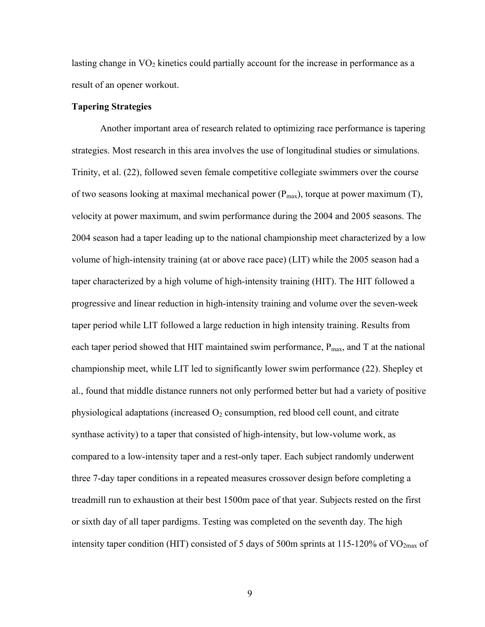lasting change in  $VO<sub>2</sub>$  kinetics could partially account for the increase in performance as a result of an opener workout.

#### **Tapering Strategies**

Another important area of research related to optimizing race performance is tapering strategies. Most research in this area involves the use of longitudinal studies or simulations. Trinity, et al. (22), followed seven female competitive collegiate swimmers over the course of two seasons looking at maximal mechanical power  $(P_{max})$ , torque at power maximum (T), velocity at power maximum, and swim performance during the 2004 and 2005 seasons. The 2004 season had a taper leading up to the national championship meet characterized by a low volume of high-intensity training (at or above race pace) (LIT) while the 2005 season had a taper characterized by a high volume of high-intensity training (HIT). The HIT followed a progressive and linear reduction in high-intensity training and volume over the seven-week taper period while LIT followed a large reduction in high intensity training. Results from each taper period showed that HIT maintained swim performance,  $P_{\text{max}}$ , and T at the national championship meet, while LIT led to significantly lower swim performance (22). Shepley et al., found that middle distance runners not only performed better but had a variety of positive physiological adaptations (increased  $O_2$  consumption, red blood cell count, and citrate synthase activity) to a taper that consisted of high-intensity, but low-volume work, as compared to a low-intensity taper and a rest-only taper. Each subject randomly underwent three 7-day taper conditions in a repeated measures crossover design before completing a treadmill run to exhaustion at their best 1500m pace of that year. Subjects rested on the first or sixth day of all taper pardigms. Testing was completed on the seventh day. The high intensity taper condition (HIT) consisted of 5 days of 500m sprints at 115-120% of  $VO<sub>2max</sub>$  of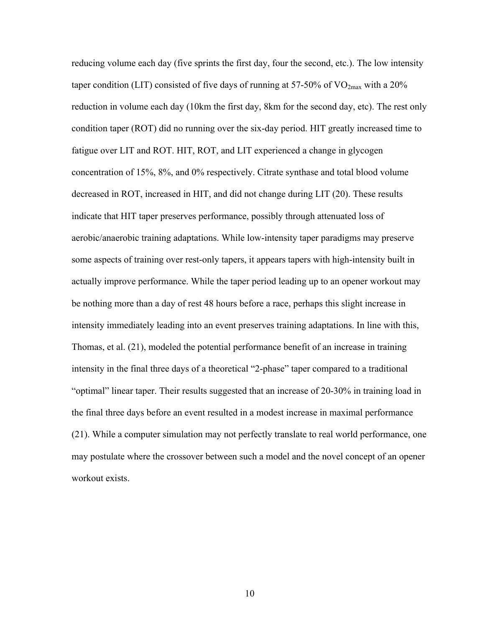reducing volume each day (five sprints the first day, four the second, etc.). The low intensity taper condition (LIT) consisted of five days of running at 57-50% of  $VO_{2max}$  with a 20% reduction in volume each day (10km the first day, 8km for the second day, etc). The rest only condition taper (ROT) did no running over the six-day period. HIT greatly increased time to fatigue over LIT and ROT. HIT, ROT, and LIT experienced a change in glycogen concentration of 15%, 8%, and 0% respectively. Citrate synthase and total blood volume decreased in ROT, increased in HIT, and did not change during LIT (20). These results indicate that HIT taper preserves performance, possibly through attenuated loss of aerobic/anaerobic training adaptations. While low-intensity taper paradigms may preserve some aspects of training over rest-only tapers, it appears tapers with high-intensity built in actually improve performance. While the taper period leading up to an opener workout may be nothing more than a day of rest 48 hours before a race, perhaps this slight increase in intensity immediately leading into an event preserves training adaptations. In line with this, Thomas, et al. (21), modeled the potential performance benefit of an increase in training intensity in the final three days of a theoretical "2-phase" taper compared to a traditional "optimal" linear taper. Their results suggested that an increase of 20-30% in training load in the final three days before an event resulted in a modest increase in maximal performance (21). While a computer simulation may not perfectly translate to real world performance, one may postulate where the crossover between such a model and the novel concept of an opener workout exists.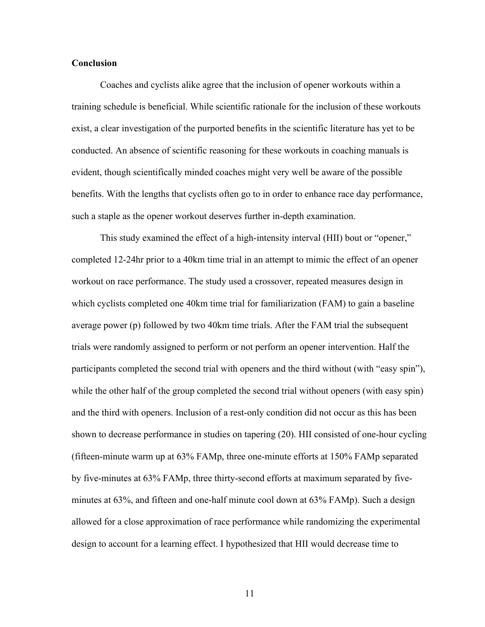#### **Conclusion**

Coaches and cyclists alike agree that the inclusion of opener workouts within a training schedule is beneficial. While scientific rationale for the inclusion of these workouts exist, a clear investigation of the purported benefits in the scientific literature has yet to be conducted. An absence of scientific reasoning for these workouts in coaching manuals is evident, though scientifically minded coaches might very well be aware of the possible benefits. With the lengths that cyclists often go to in order to enhance race day performance, such a staple as the opener workout deserves further in-depth examination.

This study examined the effect of a high-intensity interval (HII) bout or "opener," completed 12-24hr prior to a 40km time trial in an attempt to mimic the effect of an opener workout on race performance. The study used a crossover, repeated measures design in which cyclists completed one 40km time trial for familiarization (FAM) to gain a baseline average power (p) followed by two 40km time trials. After the FAM trial the subsequent trials were randomly assigned to perform or not perform an opener intervention. Half the participants completed the second trial with openers and the third without (with "easy spin"), while the other half of the group completed the second trial without openers (with easy spin) and the third with openers. Inclusion of a rest-only condition did not occur as this has been shown to decrease performance in studies on tapering (20). HII consisted of one-hour cycling (fifteen-minute warm up at 63% FAMp, three one-minute efforts at 150% FAMp separated by five-minutes at 63% FAMp, three thirty-second efforts at maximum separated by fiveminutes at 63%, and fifteen and one-half minute cool down at 63% FAMp). Such a design allowed for a close approximation of race performance while randomizing the experimental design to account for a learning effect. I hypothesized that HII would decrease time to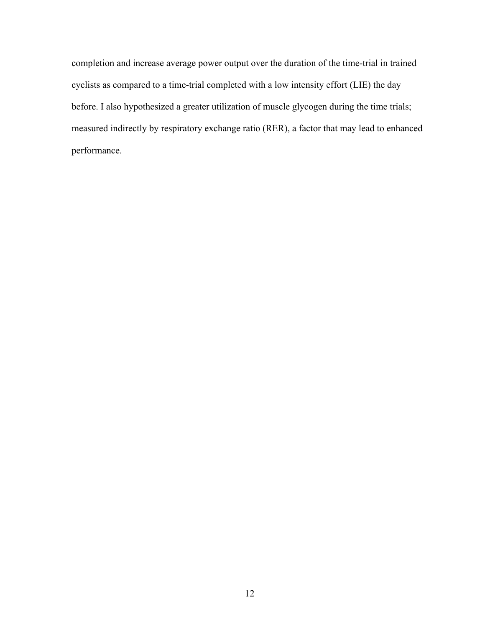completion and increase average power output over the duration of the time-trial in trained cyclists as compared to a time-trial completed with a low intensity effort (LIE) the day before. I also hypothesized a greater utilization of muscle glycogen during the time trials; measured indirectly by respiratory exchange ratio (RER), a factor that may lead to enhanced performance.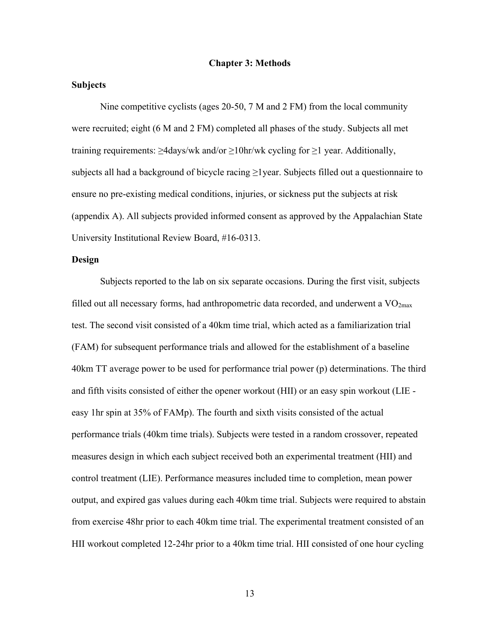#### **Chapter 3: Methods**

#### **Subjects**

Nine competitive cyclists (ages 20-50, 7 M and 2 FM) from the local community were recruited; eight (6 M and 2 FM) completed all phases of the study. Subjects all met training requirements:  $\geq$ 4days/wk and/or  $\geq$ 10hr/wk cycling for  $\geq$ 1 year. Additionally, subjects all had a background of bicycle racing  $\geq$ 1 year. Subjects filled out a questionnaire to ensure no pre-existing medical conditions, injuries, or sickness put the subjects at risk (appendix A). All subjects provided informed consent as approved by the Appalachian State University Institutional Review Board, #16-0313.

#### **Design**

Subjects reported to the lab on six separate occasions. During the first visit, subjects filled out all necessary forms, had anthropometric data recorded, and underwent a  $VO<sub>2max</sub>$ test. The second visit consisted of a 40km time trial, which acted as a familiarization trial (FAM) for subsequent performance trials and allowed for the establishment of a baseline 40km TT average power to be used for performance trial power (p) determinations. The third and fifth visits consisted of either the opener workout (HII) or an easy spin workout (LIE easy 1hr spin at 35% of FAMp). The fourth and sixth visits consisted of the actual performance trials (40km time trials). Subjects were tested in a random crossover, repeated measures design in which each subject received both an experimental treatment (HII) and control treatment (LIE). Performance measures included time to completion, mean power output, and expired gas values during each 40km time trial. Subjects were required to abstain from exercise 48hr prior to each 40km time trial. The experimental treatment consisted of an HII workout completed 12-24hr prior to a 40km time trial. HII consisted of one hour cycling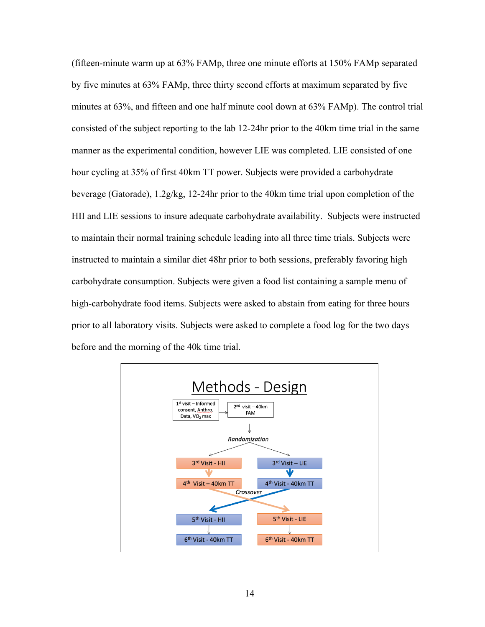(fifteen-minute warm up at 63% FAMp, three one minute efforts at 150% FAMp separated by five minutes at 63% FAMp, three thirty second efforts at maximum separated by five minutes at 63%, and fifteen and one half minute cool down at 63% FAMp). The control trial consisted of the subject reporting to the lab 12-24hr prior to the 40km time trial in the same manner as the experimental condition, however LIE was completed. LIE consisted of one hour cycling at 35% of first 40km TT power. Subjects were provided a carbohydrate beverage (Gatorade), 1.2g/kg, 12-24hr prior to the 40km time trial upon completion of the HII and LIE sessions to insure adequate carbohydrate availability. Subjects were instructed to maintain their normal training schedule leading into all three time trials. Subjects were instructed to maintain a similar diet 48hr prior to both sessions, preferably favoring high carbohydrate consumption. Subjects were given a food list containing a sample menu of high-carbohydrate food items. Subjects were asked to abstain from eating for three hours prior to all laboratory visits. Subjects were asked to complete a food log for the two days before and the morning of the 40k time trial.

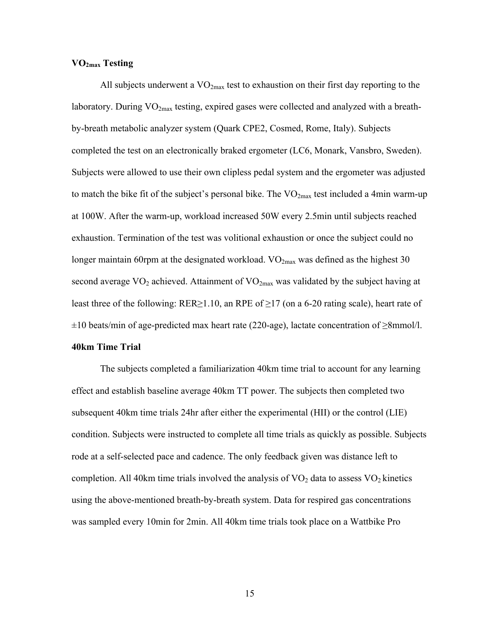#### **VO2max Testing**

All subjects underwent a  $VO_{2max}$  test to exhaustion on their first day reporting to the laboratory. During  $VO<sub>2max</sub>$  testing, expired gases were collected and analyzed with a breathby-breath metabolic analyzer system (Quark CPE2, Cosmed, Rome, Italy). Subjects completed the test on an electronically braked ergometer (LC6, Monark, Vansbro, Sweden). Subjects were allowed to use their own clipless pedal system and the ergometer was adjusted to match the bike fit of the subject's personal bike. The  $VO_{2max}$  test included a 4min warm-up at 100W. After the warm-up, workload increased 50W every 2.5min until subjects reached exhaustion. Termination of the test was volitional exhaustion or once the subject could no longer maintain 60rpm at the designated workload.  $VO_{2max}$  was defined as the highest 30 second average  $VO_2$  achieved. Attainment of  $VO_{2max}$  was validated by the subject having at least three of the following: RER≥1.10, an RPE of  $\geq$ 17 (on a 6-20 rating scale), heart rate of ±10 beats/min of age-predicted max heart rate (220-age), lactate concentration of ≥8mmol/l.

#### **40km Time Trial**

The subjects completed a familiarization 40km time trial to account for any learning effect and establish baseline average 40km TT power. The subjects then completed two subsequent 40km time trials 24hr after either the experimental (HII) or the control (LIE) condition. Subjects were instructed to complete all time trials as quickly as possible. Subjects rode at a self-selected pace and cadence. The only feedback given was distance left to completion. All 40km time trials involved the analysis of  $VO<sub>2</sub>$  data to assess  $VO<sub>2</sub>$  kinetics using the above-mentioned breath-by-breath system. Data for respired gas concentrations was sampled every 10min for 2min. All 40km time trials took place on a Wattbike Pro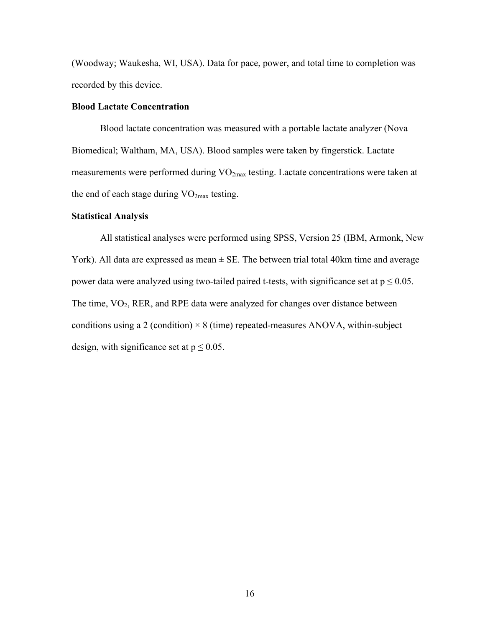(Woodway; Waukesha, WI, USA). Data for pace, power, and total time to completion was recorded by this device.

#### **Blood Lactate Concentration**

Blood lactate concentration was measured with a portable lactate analyzer (Nova Biomedical; Waltham, MA, USA). Blood samples were taken by fingerstick. Lactate measurements were performed during  $VO_{2max}$  testing. Lactate concentrations were taken at the end of each stage during  $VO<sub>2max</sub>$  testing.

#### **Statistical Analysis**

All statistical analyses were performed using SPSS, Version 25 (IBM, Armonk, New York). All data are expressed as mean  $\pm$  SE. The between trial total 40km time and average power data were analyzed using two-tailed paired t-tests, with significance set at  $p \le 0.05$ . The time, VO<sub>2</sub>, RER, and RPE data were analyzed for changes over distance between conditions using a 2 (condition)  $\times$  8 (time) repeated-measures ANOVA, within-subject design, with significance set at  $p \le 0.05$ .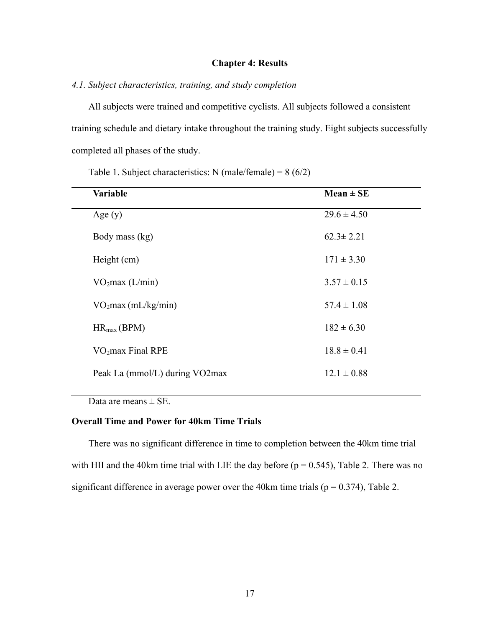#### **Chapter 4: Results**

### *4.1. Subject characteristics, training, and study completion*

All subjects were trained and competitive cyclists. All subjects followed a consistent training schedule and dietary intake throughout the training study. Eight subjects successfully completed all phases of the study.

Table 1. Subject characteristics: N (male/female) =  $8(6/2)$ 

| <b>Variable</b>                 | $Mean \pm SE$   |
|---------------------------------|-----------------|
| Age $(y)$                       | $29.6 \pm 4.50$ |
| Body mass (kg)                  | $62.3 \pm 2.21$ |
| Height (cm)                     | $171 \pm 3.30$  |
| VO <sub>2</sub> max (L/min)     | $3.57 \pm 0.15$ |
| VO <sub>2</sub> max (mL/kg/min) | $57.4 \pm 1.08$ |
| $HR_{max}(BPM)$                 | $182 \pm 6.30$  |
| VO <sub>2</sub> max Final RPE   | $18.8 \pm 0.41$ |
| Peak La (mmol/L) during VO2max  | $12.1 \pm 0.88$ |

Data are means  $\pm$  SE.

 $\overline{\phantom{0}}$ 

### **Overall Time and Power for 40km Time Trials**

There was no significant difference in time to completion between the 40km time trial with HII and the 40km time trial with LIE the day before  $(p = 0.545)$ , Table 2. There was no significant difference in average power over the 40km time trials ( $p = 0.374$ ), Table 2.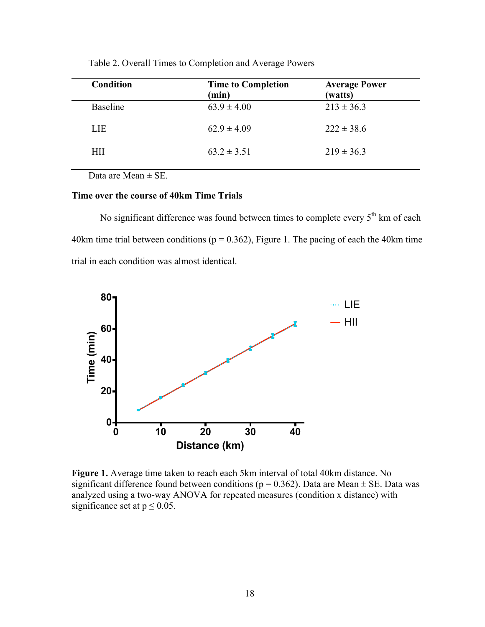| <b>Condition</b> | <b>Time to Completion</b><br>(min) | <b>Average Power</b><br>(watts) |
|------------------|------------------------------------|---------------------------------|
| <b>Baseline</b>  | $63.9 \pm 4.00$                    | $213 \pm 36.3$                  |
| LIE              | $62.9 \pm 4.09$                    | $222 \pm 38.6$                  |
| HП               | $63.2 \pm 3.51$                    | $219 \pm 36.3$                  |
|                  |                                    |                                 |

Table 2. Overall Times to Completion and Average Powers

Data are Mean  $\pm$  SE.

### **Time over the course of 40km Time Trials**

No significant difference was found between times to complete every  $5<sup>th</sup>$  km of each 40km time trial between conditions ( $p = 0.362$ ), Figure 1. The pacing of each the 40km time trial in each condition was almost identical.



**Figure 1.** Average time taken to reach each 5km interval of total 40km distance. No significant difference found between conditions ( $p = 0.362$ ). Data are Mean  $\pm$  SE. Data was analyzed using a two-way ANOVA for repeated measures (condition x distance) with significance set at  $p \le 0.05$ .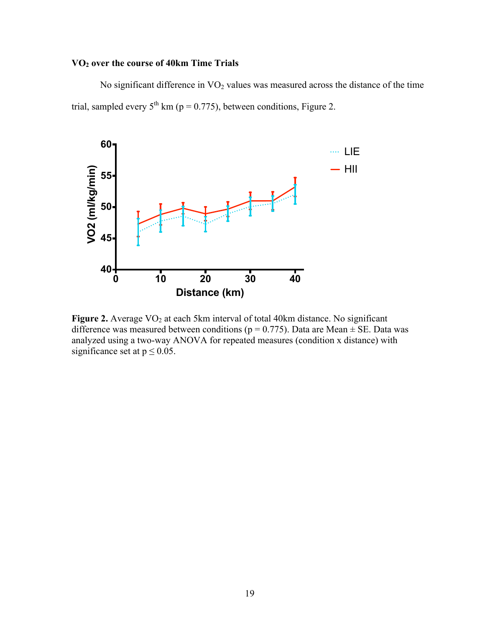# **VO2 over the course of 40km Time Trials**

No significant difference in VO<sub>2</sub> values was measured across the distance of the time trial, sampled every  $5^{th}$  km (p = 0.775), between conditions, Figure 2.



**Figure 2.** Average VO<sub>2</sub> at each 5km interval of total 40km distance. No significant difference was measured between conditions ( $p = 0.775$ ). Data are Mean  $\pm$  SE. Data was analyzed using a two-way ANOVA for repeated measures (condition x distance) with significance set at  $p \le 0.05$ .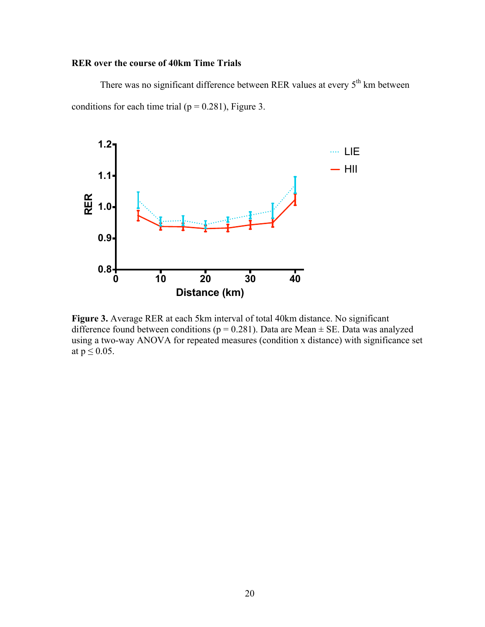# **RER over the course of 40km Time Trials**

There was no significant difference between RER values at every  $5<sup>th</sup>$  km between conditions for each time trial ( $p = 0.281$ ), Figure 3.



**Figure 3.** Average RER at each 5km interval of total 40km distance. No significant difference found between conditions ( $p = 0.281$ ). Data are Mean  $\pm$  SE. Data was analyzed using a two-way ANOVA for repeated measures (condition x distance) with significance set at  $p \leq 0.05$ .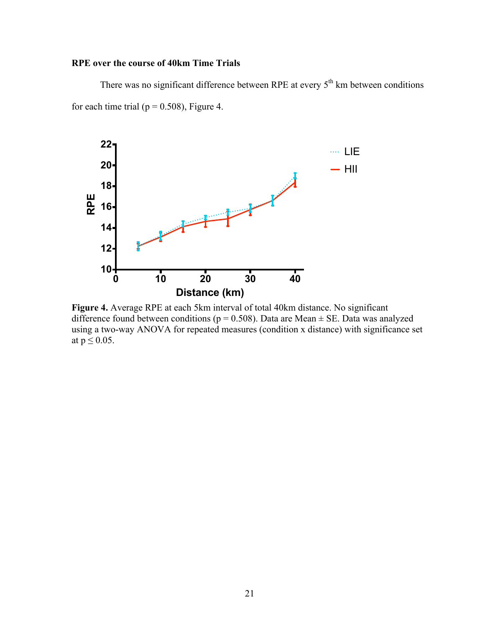# **RPE over the course of 40km Time Trials**

There was no significant difference between RPE at every  $5<sup>th</sup>$  km between conditions for each time trial ( $p = 0.508$ ), Figure 4.



**Figure 4.** Average RPE at each 5km interval of total 40km distance. No significant difference found between conditions ( $p = 0.508$ ). Data are Mean  $\pm$  SE. Data was analyzed using a two-way ANOVA for repeated measures (condition x distance) with significance set at  $p \leq 0.05$ .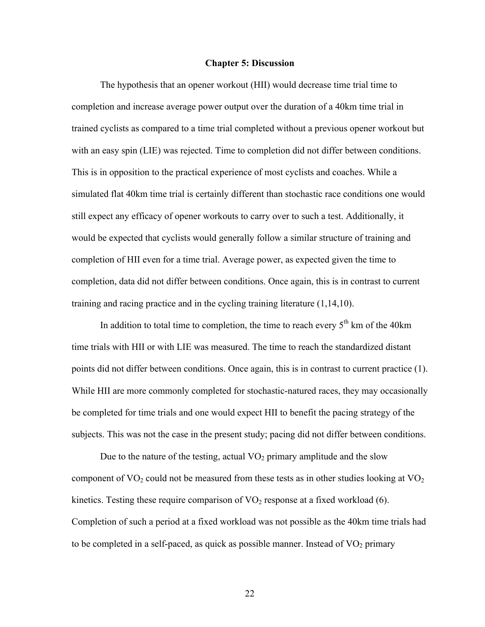#### **Chapter 5: Discussion**

The hypothesis that an opener workout (HII) would decrease time trial time to completion and increase average power output over the duration of a 40km time trial in trained cyclists as compared to a time trial completed without a previous opener workout but with an easy spin (LIE) was rejected. Time to completion did not differ between conditions. This is in opposition to the practical experience of most cyclists and coaches. While a simulated flat 40km time trial is certainly different than stochastic race conditions one would still expect any efficacy of opener workouts to carry over to such a test. Additionally, it would be expected that cyclists would generally follow a similar structure of training and completion of HII even for a time trial. Average power, as expected given the time to completion, data did not differ between conditions. Once again, this is in contrast to current training and racing practice and in the cycling training literature (1,14,10).

In addition to total time to completion, the time to reach every  $5<sup>th</sup>$  km of the 40km time trials with HII or with LIE was measured. The time to reach the standardized distant points did not differ between conditions. Once again, this is in contrast to current practice (1). While HII are more commonly completed for stochastic-natured races, they may occasionally be completed for time trials and one would expect HII to benefit the pacing strategy of the subjects. This was not the case in the present study; pacing did not differ between conditions.

Due to the nature of the testing, actual  $VO<sub>2</sub>$  primary amplitude and the slow component of  $\text{VO}_2$  could not be measured from these tests as in other studies looking at  $\text{VO}_2$ kinetics. Testing these require comparison of  $VO<sub>2</sub>$  response at a fixed workload (6). Completion of such a period at a fixed workload was not possible as the 40km time trials had to be completed in a self-paced, as quick as possible manner. Instead of  $VO<sub>2</sub>$  primary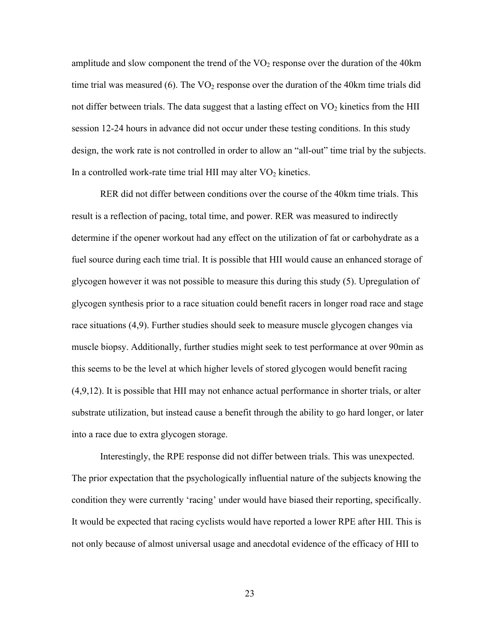amplitude and slow component the trend of the  $VO<sub>2</sub>$  response over the duration of the 40km time trial was measured (6). The  $VO<sub>2</sub>$  response over the duration of the 40km time trials did not differ between trials. The data suggest that a lasting effect on  $VO<sub>2</sub>$  kinetics from the HII session 12-24 hours in advance did not occur under these testing conditions. In this study design, the work rate is not controlled in order to allow an "all-out" time trial by the subjects. In a controlled work-rate time trial HII may alter  $VO<sub>2</sub>$  kinetics.

RER did not differ between conditions over the course of the 40km time trials. This result is a reflection of pacing, total time, and power. RER was measured to indirectly determine if the opener workout had any effect on the utilization of fat or carbohydrate as a fuel source during each time trial. It is possible that HII would cause an enhanced storage of glycogen however it was not possible to measure this during this study (5). Upregulation of glycogen synthesis prior to a race situation could benefit racers in longer road race and stage race situations (4,9). Further studies should seek to measure muscle glycogen changes via muscle biopsy. Additionally, further studies might seek to test performance at over 90min as this seems to be the level at which higher levels of stored glycogen would benefit racing (4,9,12). It is possible that HII may not enhance actual performance in shorter trials, or alter substrate utilization, but instead cause a benefit through the ability to go hard longer, or later into a race due to extra glycogen storage.

Interestingly, the RPE response did not differ between trials. This was unexpected. The prior expectation that the psychologically influential nature of the subjects knowing the condition they were currently 'racing' under would have biased their reporting, specifically. It would be expected that racing cyclists would have reported a lower RPE after HII. This is not only because of almost universal usage and anecdotal evidence of the efficacy of HII to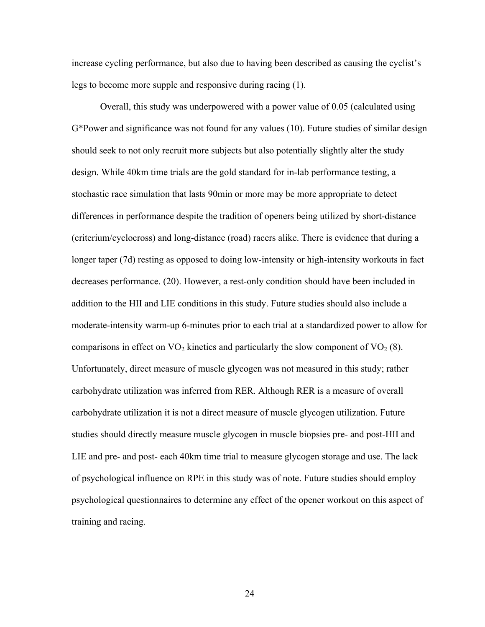increase cycling performance, but also due to having been described as causing the cyclist's legs to become more supple and responsive during racing (1).

Overall, this study was underpowered with a power value of 0.05 (calculated using G\*Power and significance was not found for any values (10). Future studies of similar design should seek to not only recruit more subjects but also potentially slightly alter the study design. While 40km time trials are the gold standard for in-lab performance testing, a stochastic race simulation that lasts 90min or more may be more appropriate to detect differences in performance despite the tradition of openers being utilized by short-distance (criterium/cyclocross) and long-distance (road) racers alike. There is evidence that during a longer taper (7d) resting as opposed to doing low-intensity or high-intensity workouts in fact decreases performance. (20). However, a rest-only condition should have been included in addition to the HII and LIE conditions in this study. Future studies should also include a moderate-intensity warm-up 6-minutes prior to each trial at a standardized power to allow for comparisons in effect on  $VO<sub>2</sub>$  kinetics and particularly the slow component of  $VO<sub>2</sub>$  (8). Unfortunately, direct measure of muscle glycogen was not measured in this study; rather carbohydrate utilization was inferred from RER. Although RER is a measure of overall carbohydrate utilization it is not a direct measure of muscle glycogen utilization. Future studies should directly measure muscle glycogen in muscle biopsies pre- and post-HII and LIE and pre- and post- each 40km time trial to measure glycogen storage and use. The lack of psychological influence on RPE in this study was of note. Future studies should employ psychological questionnaires to determine any effect of the opener workout on this aspect of training and racing.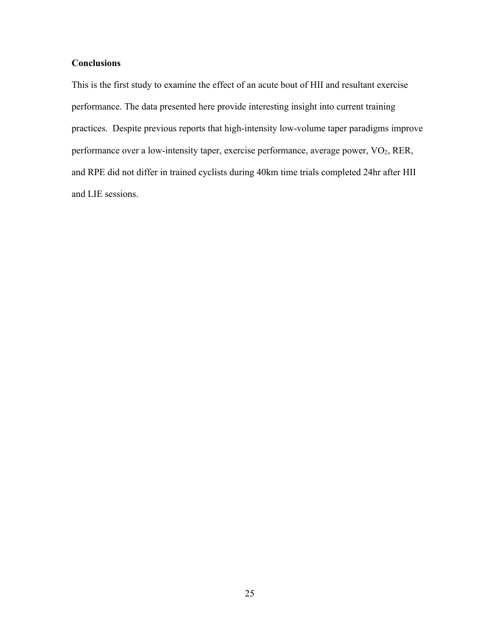# **Conclusions**

This is the first study to examine the effect of an acute bout of HII and resultant exercise performance. The data presented here provide interesting insight into current training practices. Despite previous reports that high-intensity low-volume taper paradigms improve performance over a low-intensity taper, exercise performance, average power, VO<sub>2</sub>, RER, and RPE did not differ in trained cyclists during 40km time trials completed 24hr after HII and LIE sessions.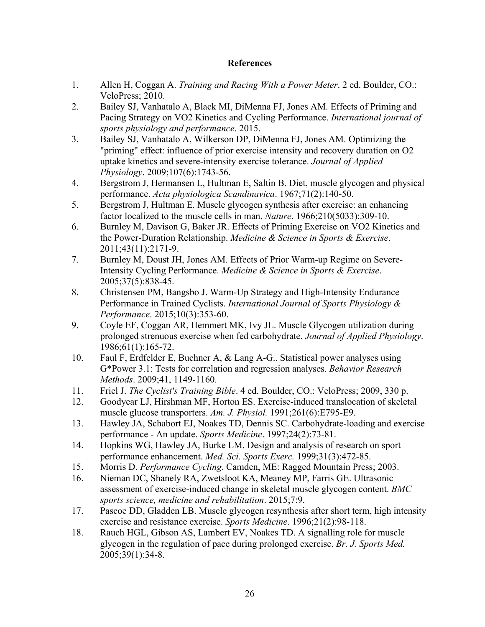### **References**

- 1. Allen H, Coggan A. *Training and Racing With a Power Meter*. 2 ed. Boulder, CO.: VeloPress; 2010.
- 2. Bailey SJ, Vanhatalo A, Black MI, DiMenna FJ, Jones AM. Effects of Priming and Pacing Strategy on VO2 Kinetics and Cycling Performance. *International journal of sports physiology and performance*. 2015.
- 3. Bailey SJ, Vanhatalo A, Wilkerson DP, DiMenna FJ, Jones AM. Optimizing the "priming" effect: influence of prior exercise intensity and recovery duration on O2 uptake kinetics and severe-intensity exercise tolerance. *Journal of Applied Physiology*. 2009;107(6):1743-56.
- 4. Bergstrom J, Hermansen L, Hultman E, Saltin B. Diet, muscle glycogen and physical performance. *Acta physiologica Scandinavica*. 1967;71(2):140-50.
- 5. Bergstrom J, Hultman E. Muscle glycogen synthesis after exercise: an enhancing factor localized to the muscle cells in man. *Nature*. 1966;210(5033):309-10.
- 6. Burnley M, Davison G, Baker JR. Effects of Priming Exercise on VO2 Kinetics and the Power-Duration Relationship. *Medicine & Science in Sports & Exercise*. 2011;43(11):2171-9.
- 7. Burnley M, Doust JH, Jones AM. Effects of Prior Warm-up Regime on Severe-Intensity Cycling Performance. *Medicine & Science in Sports & Exercise*. 2005;37(5):838-45.
- 8. Christensen PM, Bangsbo J. Warm-Up Strategy and High-Intensity Endurance Performance in Trained Cyclists. *International Journal of Sports Physiology & Performance*. 2015;10(3):353-60.
- 9. Coyle EF, Coggan AR, Hemmert MK, Ivy JL. Muscle Glycogen utilization during prolonged strenuous exercise when fed carbohydrate. *Journal of Applied Physiology*. 1986;61(1):165-72.
- 10. Faul F, Erdfelder E, Buchner A, & Lang A-G.. Statistical power analyses using G\*Power 3.1: Tests for correlation and regression analyses. *Behavior Research Methods*. 2009;41, 1149-1160.
- 11. Friel J. *The Cyclist's Training Bible*. 4 ed. Boulder, CO.: VeloPress; 2009, 330 p.
- 12. Goodyear LJ, Hirshman MF, Horton ES. Exercise-induced translocation of skeletal muscle glucose transporters. *Am. J. Physiol.* 1991;261(6):E795-E9.
- 13. Hawley JA, Schabort EJ, Noakes TD, Dennis SC. Carbohydrate-loading and exercise performance - An update. *Sports Medicine*. 1997;24(2):73-81.
- 14. Hopkins WG, Hawley JA, Burke LM. Design and analysis of research on sport performance enhancement. *Med. Sci. Sports Exerc.* 1999;31(3):472-85.
- 15. Morris D. *Performance Cycling*. Camden, ME: Ragged Mountain Press; 2003.
- 16. Nieman DC, Shanely RA, Zwetsloot KA, Meaney MP, Farris GE. Ultrasonic assessment of exercise-induced change in skeletal muscle glycogen content. *BMC sports science, medicine and rehabilitation*. 2015;7:9.
- 17. Pascoe DD, Gladden LB. Muscle glycogen resynthesis after short term, high intensity exercise and resistance exercise. *Sports Medicine*. 1996;21(2):98-118.
- 18. Rauch HGL, Gibson AS, Lambert EV, Noakes TD. A signalling role for muscle glycogen in the regulation of pace during prolonged exercise. *Br. J. Sports Med.* 2005;39(1):34-8.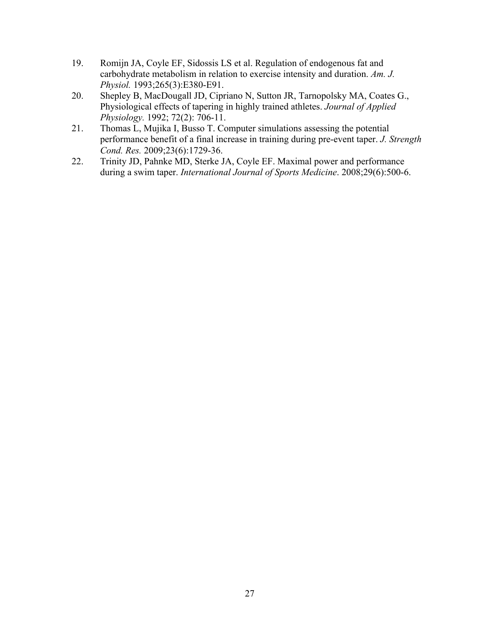- 19. Romijn JA, Coyle EF, Sidossis LS et al. Regulation of endogenous fat and carbohydrate metabolism in relation to exercise intensity and duration. *Am. J. Physiol.* 1993;265(3):E380-E91.
- 20. Shepley B, MacDougall JD, Cipriano N, Sutton JR, Tarnopolsky MA, Coates G., Physiological effects of tapering in highly trained athletes. *Journal of Applied Physiology.* 1992; 72(2): 706-11.
- 21. Thomas L, Mujika I, Busso T. Computer simulations assessing the potential performance benefit of a final increase in training during pre-event taper. *J. Strength Cond. Res.* 2009;23(6):1729-36.
- 22. Trinity JD, Pahnke MD, Sterke JA, Coyle EF. Maximal power and performance during a swim taper. *International Journal of Sports Medicine*. 2008;29(6):500-6.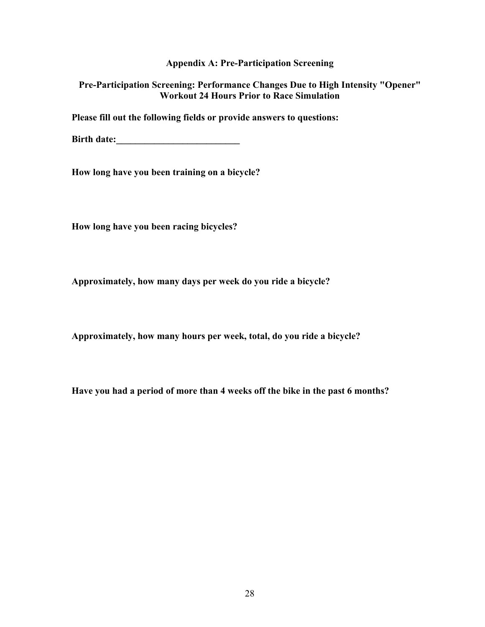### **Appendix A: Pre-Participation Screening**

### **Pre-Participation Screening: Performance Changes Due to High Intensity "Opener" Workout 24 Hours Prior to Race Simulation**

**Please fill out the following fields or provide answers to questions:**

**Birth date:\_\_\_\_\_\_\_\_\_\_\_\_\_\_\_\_\_\_\_\_\_\_\_\_\_\_**

**How long have you been training on a bicycle?**

**How long have you been racing bicycles?**

**Approximately, how many days per week do you ride a bicycle?**

**Approximately, how many hours per week, total, do you ride a bicycle?**

**Have you had a period of more than 4 weeks off the bike in the past 6 months?**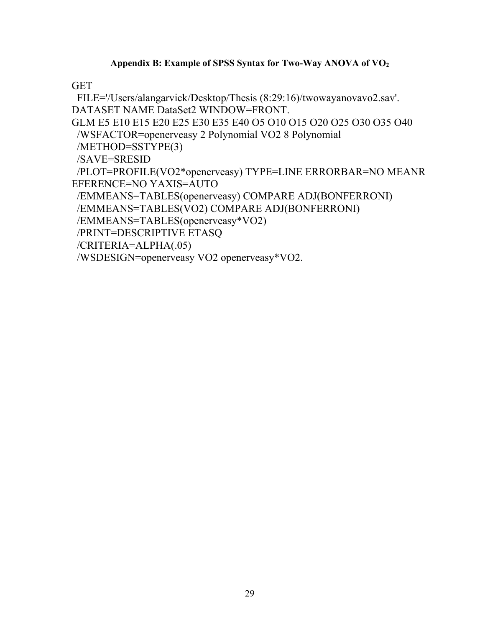# **Appendix B: Example of SPSS Syntax for Two-Way ANOVA of VO2**

# **GET**

FILE='/Users/alangarvick/Desktop/Thesis (8:29:16)/twowayanovavo2.sav'. DATASET NAME DataSet2 WINDOW=FRONT. GLM E5 E10 E15 E20 E25 E30 E35 E40 O5 O10 O15 O20 O25 O30 O35 O40 /WSFACTOR=openerveasy 2 Polynomial VO2 8 Polynomial /METHOD=SSTYPE(3) /SAVE=SRESID /PLOT=PROFILE(VO2\*openerveasy) TYPE=LINE ERRORBAR=NO MEANR EFERENCE=NO YAXIS=AUTO /EMMEANS=TABLES(openerveasy) COMPARE ADJ(BONFERRONI) /EMMEANS=TABLES(VO2) COMPARE ADJ(BONFERRONI) /EMMEANS=TABLES(openerveasy\*VO2) /PRINT=DESCRIPTIVE ETASQ /CRITERIA=ALPHA(.05) /WSDESIGN=openerveasy VO2 openerveasy\*VO2.